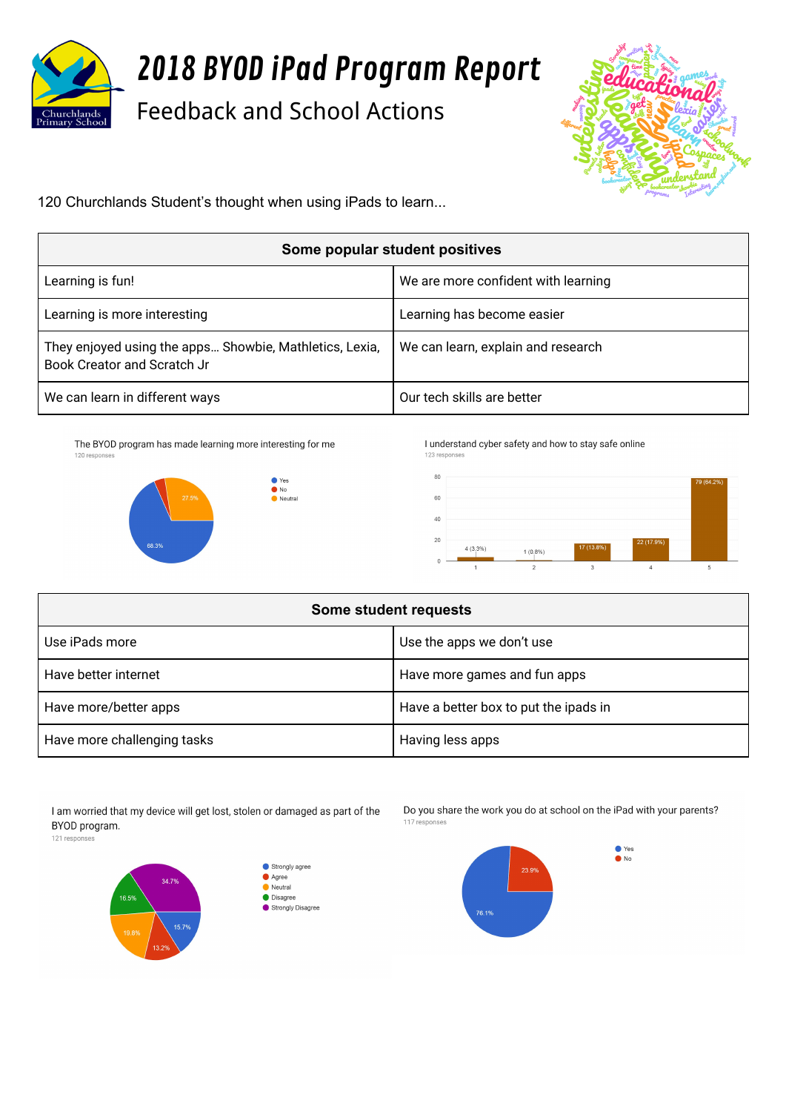

## 2018 BYOD iPad Program Report

Feedback and School Actions



120 Churchlands Student's thought when using iPads to learn...

| Some popular student positives                                                                |                                     |  |
|-----------------------------------------------------------------------------------------------|-------------------------------------|--|
| Learning is fun!                                                                              | We are more confident with learning |  |
| Learning is more interesting                                                                  | Learning has become easier          |  |
| They enjoyed using the apps Showbie, Mathletics, Lexia,<br><b>Book Creator and Scratch Jr</b> | We can learn, explain and research  |  |
| We can learn in different ways                                                                | Our tech skills are better          |  |

The BYOD program has made learning more interesting for me 120 responses

 $\begin{array}{c}\n\bullet \text{ Yes} \\
\bullet \text{ No}\n\end{array}$ 

 $\bullet$  Neutral



I understand cyber safety and how to stay safe online 123 responser



| Some student requests       |                                       |  |
|-----------------------------|---------------------------------------|--|
| Use iPads more              | Use the apps we don't use             |  |
| Have better internet        | Have more games and fun apps          |  |
| Have more/better apps       | Have a better box to put the ipads in |  |
| Have more challenging tasks | Having less apps                      |  |

I am worried that my device will get lost, stolen or damaged as part of the BYOD program.

121 responses





Do you share the work you do at school on the iPad with your parents? 117 responses

> $\bullet$  Yes  $\bullet$ No

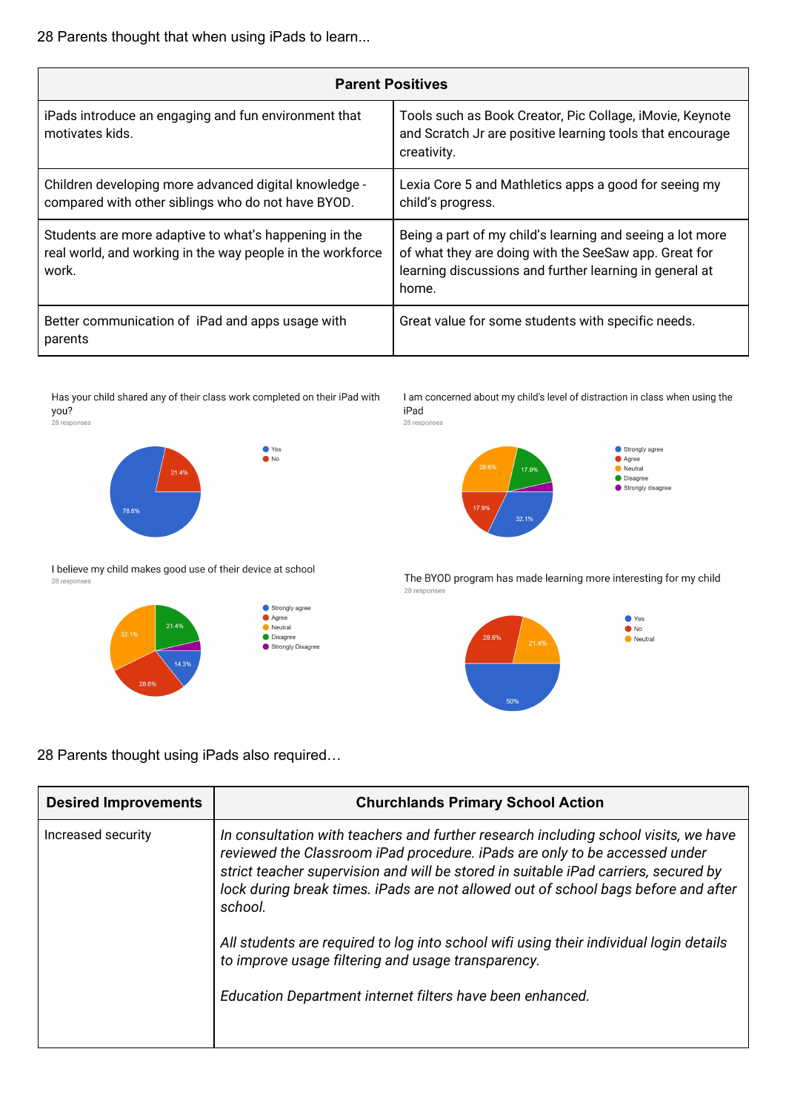28 Parents thought that when using iPads to learn...

| <b>Parent Positives</b>                                                                                                      |                                                                                                                                                                                        |
|------------------------------------------------------------------------------------------------------------------------------|----------------------------------------------------------------------------------------------------------------------------------------------------------------------------------------|
| iPads introduce an engaging and fun environment that<br>motivates kids.                                                      | Tools such as Book Creator, Pic Collage, iMovie, Keynote<br>and Scratch Jr are positive learning tools that encourage<br>creativity.                                                   |
| Children developing more advanced digital knowledge -<br>compared with other siblings who do not have BYOD.                  | Lexia Core 5 and Mathletics apps a good for seeing my<br>child's progress.                                                                                                             |
| Students are more adaptive to what's happening in the<br>real world, and working in the way people in the workforce<br>work. | Being a part of my child's learning and seeing a lot more<br>of what they are doing with the SeeSaw app. Great for<br>learning discussions and further learning in general at<br>home. |
| Better communication of iPad and apps usage with<br>parents                                                                  | Great value for some students with specific needs.                                                                                                                                     |

Has your child shared any of their class work completed on their iPad with you? 28 responses

 $\begin{array}{c}\n\bullet \\
\bullet \\
\hline\n\end{array}$  No



I believe my child makes good use of their device at school 28 responses



I am concerned about my child's level of distraction in class when using the iPad 28 responses



The BYOD program has made learning more interesting for my child 28 responses



28 Parents thought using iPads also required…

| <b>Desired Improvements</b> | <b>Churchlands Primary School Action</b>                                                                                                                                                                                                                                                                                                                  |
|-----------------------------|-----------------------------------------------------------------------------------------------------------------------------------------------------------------------------------------------------------------------------------------------------------------------------------------------------------------------------------------------------------|
| Increased security          | In consultation with teachers and further research including school visits, we have<br>reviewed the Classroom iPad procedure. iPads are only to be accessed under<br>strict teacher supervision and will be stored in suitable iPad carriers, secured by<br>lock during break times. iPads are not allowed out of school bags before and after<br>school. |
|                             | All students are required to log into school wifi using their individual login details<br>to improve usage filtering and usage transparency.                                                                                                                                                                                                              |
|                             | Education Department internet filters have been enhanced.                                                                                                                                                                                                                                                                                                 |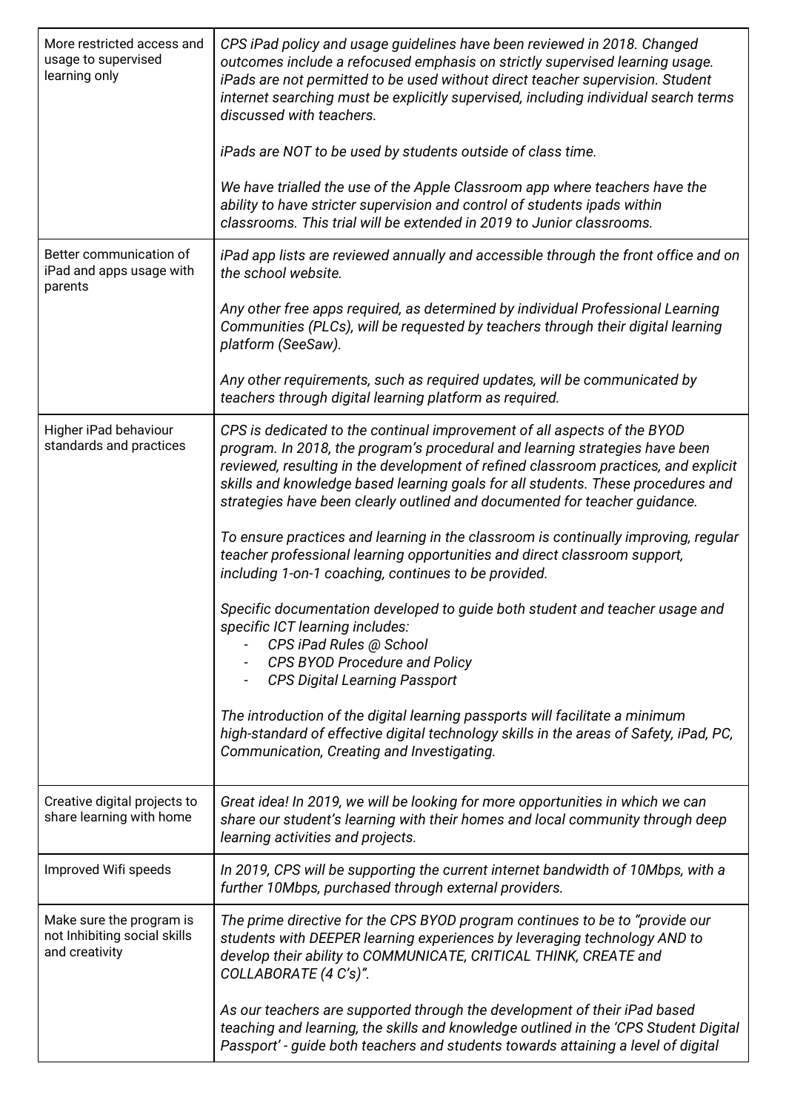| More restricted access and<br>usage to supervised<br>learning only         | CPS iPad policy and usage guidelines have been reviewed in 2018. Changed<br>outcomes include a refocused emphasis on strictly supervised learning usage.<br>iPads are not permitted to be used without direct teacher supervision. Student<br>internet searching must be explicitly supervised, including individual search terms<br>discussed with teachers.<br>iPads are NOT to be used by students outside of class time. |
|----------------------------------------------------------------------------|------------------------------------------------------------------------------------------------------------------------------------------------------------------------------------------------------------------------------------------------------------------------------------------------------------------------------------------------------------------------------------------------------------------------------|
|                                                                            | We have trialled the use of the Apple Classroom app where teachers have the<br>ability to have stricter supervision and control of students ipads within<br>classrooms. This trial will be extended in 2019 to Junior classrooms.                                                                                                                                                                                            |
| Better communication of<br>iPad and apps usage with<br>parents             | iPad app lists are reviewed annually and accessible through the front office and on<br>the school website.                                                                                                                                                                                                                                                                                                                   |
|                                                                            | Any other free apps required, as determined by individual Professional Learning<br>Communities (PLCs), will be requested by teachers through their digital learning<br>platform (SeeSaw).                                                                                                                                                                                                                                    |
|                                                                            | Any other requirements, such as required updates, will be communicated by<br>teachers through digital learning platform as required.                                                                                                                                                                                                                                                                                         |
| Higher iPad behaviour<br>standards and practices                           | CPS is dedicated to the continual improvement of all aspects of the BYOD<br>program. In 2018, the program's procedural and learning strategies have been<br>reviewed, resulting in the development of refined classroom practices, and explicit<br>skills and knowledge based learning goals for all students. These procedures and<br>strategies have been clearly outlined and documented for teacher guidance.            |
|                                                                            | To ensure practices and learning in the classroom is continually improving, regular<br>teacher professional learning opportunities and direct classroom support,<br>including 1-on-1 coaching, continues to be provided.                                                                                                                                                                                                     |
|                                                                            | Specific documentation developed to guide both student and teacher usage and<br>specific ICT learning includes:<br>CPS iPad Rules @ School<br>CPS BYOD Procedure and Policy<br><b>CPS Digital Learning Passport</b>                                                                                                                                                                                                          |
|                                                                            | The introduction of the digital learning passports will facilitate a minimum<br>high-standard of effective digital technology skills in the areas of Safety, iPad, PC,<br>Communication, Creating and Investigating.                                                                                                                                                                                                         |
| Creative digital projects to<br>share learning with home                   | Great idea! In 2019, we will be looking for more opportunities in which we can<br>share our student's learning with their homes and local community through deep<br>learning activities and projects.                                                                                                                                                                                                                        |
| Improved Wifi speeds                                                       | In 2019, CPS will be supporting the current internet bandwidth of 10Mbps, with a<br>further 10Mbps, purchased through external providers.                                                                                                                                                                                                                                                                                    |
| Make sure the program is<br>not Inhibiting social skills<br>and creativity | The prime directive for the CPS BYOD program continues to be to "provide our<br>students with DEEPER learning experiences by leveraging technology AND to<br>develop their ability to COMMUNICATE, CRITICAL THINK, CREATE and<br>COLLABORATE (4 C's)".                                                                                                                                                                       |
|                                                                            | As our teachers are supported through the development of their iPad based<br>teaching and learning, the skills and knowledge outlined in the 'CPS Student Digital<br>Passport' - guide both teachers and students towards attaining a level of digital                                                                                                                                                                       |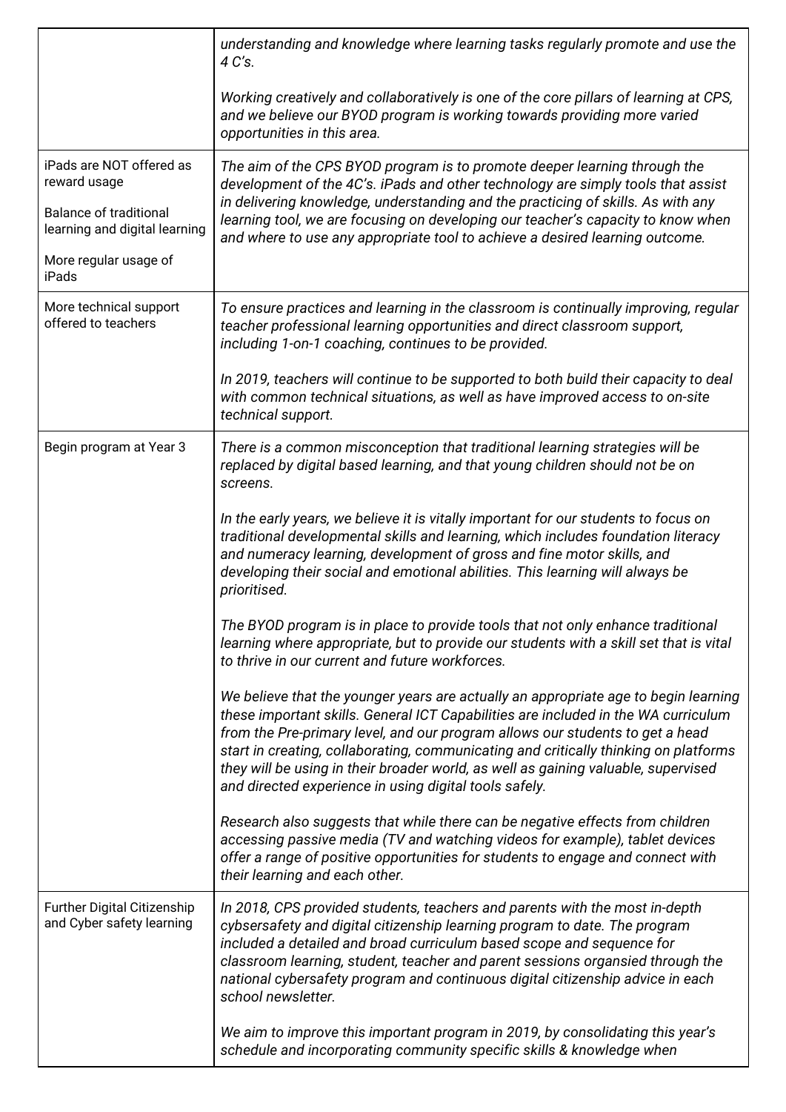|                                                                | understanding and knowledge where learning tasks regularly promote and use the<br>4 C's.                                                                                                                                                                                                                                                                                                                                                                                                           |
|----------------------------------------------------------------|----------------------------------------------------------------------------------------------------------------------------------------------------------------------------------------------------------------------------------------------------------------------------------------------------------------------------------------------------------------------------------------------------------------------------------------------------------------------------------------------------|
|                                                                | Working creatively and collaboratively is one of the core pillars of learning at CPS,<br>and we believe our BYOD program is working towards providing more varied<br>opportunities in this area.                                                                                                                                                                                                                                                                                                   |
| iPads are NOT offered as<br>reward usage                       | The aim of the CPS BYOD program is to promote deeper learning through the<br>development of the 4C's. iPads and other technology are simply tools that assist                                                                                                                                                                                                                                                                                                                                      |
| <b>Balance of traditional</b><br>learning and digital learning | in delivering knowledge, understanding and the practicing of skills. As with any<br>learning tool, we are focusing on developing our teacher's capacity to know when<br>and where to use any appropriate tool to achieve a desired learning outcome.                                                                                                                                                                                                                                               |
| More regular usage of<br>iPads                                 |                                                                                                                                                                                                                                                                                                                                                                                                                                                                                                    |
| More technical support<br>offered to teachers                  | To ensure practices and learning in the classroom is continually improving, regular<br>teacher professional learning opportunities and direct classroom support,<br>including 1-on-1 coaching, continues to be provided.                                                                                                                                                                                                                                                                           |
|                                                                | In 2019, teachers will continue to be supported to both build their capacity to deal<br>with common technical situations, as well as have improved access to on-site<br>technical support.                                                                                                                                                                                                                                                                                                         |
| Begin program at Year 3                                        | There is a common misconception that traditional learning strategies will be<br>replaced by digital based learning, and that young children should not be on<br>screens.                                                                                                                                                                                                                                                                                                                           |
|                                                                | In the early years, we believe it is vitally important for our students to focus on<br>traditional developmental skills and learning, which includes foundation literacy<br>and numeracy learning, development of gross and fine motor skills, and<br>developing their social and emotional abilities. This learning will always be<br>prioritised.                                                                                                                                                |
|                                                                | The BYOD program is in place to provide tools that not only enhance traditional<br>learning where appropriate, but to provide our students with a skill set that is vital<br>to thrive in our current and future workforces.                                                                                                                                                                                                                                                                       |
|                                                                | We believe that the younger years are actually an appropriate age to begin learning<br>these important skills. General ICT Capabilities are included in the WA curriculum<br>from the Pre-primary level, and our program allows our students to get a head<br>start in creating, collaborating, communicating and critically thinking on platforms<br>they will be using in their broader world, as well as gaining valuable, supervised<br>and directed experience in using digital tools safely. |
|                                                                | Research also suggests that while there can be negative effects from children<br>accessing passive media (TV and watching videos for example), tablet devices<br>offer a range of positive opportunities for students to engage and connect with<br>their learning and each other.                                                                                                                                                                                                                 |
| Further Digital Citizenship<br>and Cyber safety learning       | In 2018, CPS provided students, teachers and parents with the most in-depth<br>cybsersafety and digital citizenship learning program to date. The program<br>included a detailed and broad curriculum based scope and sequence for<br>classroom learning, student, teacher and parent sessions organsied through the<br>national cybersafety program and continuous digital citizenship advice in each<br>school newsletter.                                                                       |
|                                                                | We aim to improve this important program in 2019, by consolidating this year's<br>schedule and incorporating community specific skills & knowledge when                                                                                                                                                                                                                                                                                                                                            |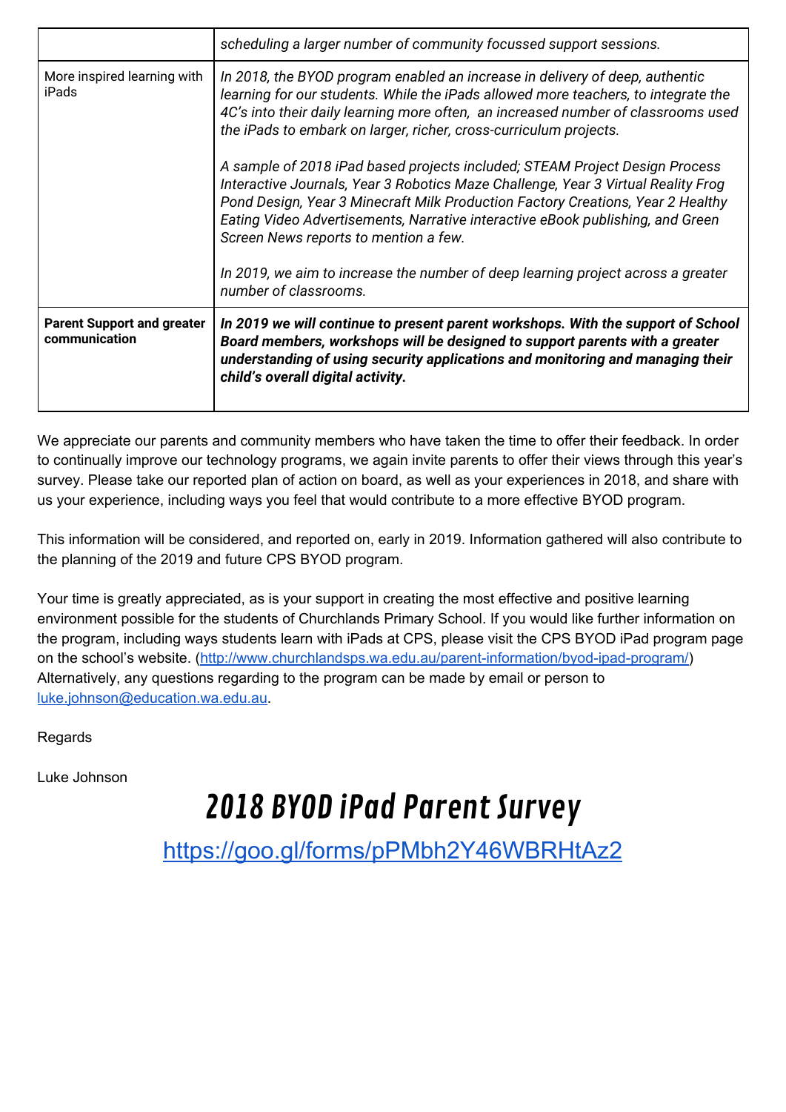|                                                    | scheduling a larger number of community focussed support sessions.                                                                                                                                                                                                                                                                                                             |
|----------------------------------------------------|--------------------------------------------------------------------------------------------------------------------------------------------------------------------------------------------------------------------------------------------------------------------------------------------------------------------------------------------------------------------------------|
| More inspired learning with<br>iPads               | In 2018, the BYOD program enabled an increase in delivery of deep, authentic<br>learning for our students. While the iPads allowed more teachers, to integrate the<br>4C's into their daily learning more often, an increased number of classrooms used<br>the iPads to embark on larger, richer, cross-curriculum projects.                                                   |
|                                                    | A sample of 2018 iPad based projects included; STEAM Project Design Process<br>Interactive Journals, Year 3 Robotics Maze Challenge, Year 3 Virtual Reality Frog<br>Pond Design, Year 3 Minecraft Milk Production Factory Creations, Year 2 Healthy<br>Eating Video Advertisements, Narrative interactive eBook publishing, and Green<br>Screen News reports to mention a few. |
|                                                    | In 2019, we aim to increase the number of deep learning project across a greater<br>number of classrooms.                                                                                                                                                                                                                                                                      |
| <b>Parent Support and greater</b><br>communication | In 2019 we will continue to present parent workshops. With the support of School<br>Board members, workshops will be designed to support parents with a greater<br>understanding of using security applications and monitoring and managing their<br>child's overall digital activity.                                                                                         |

We appreciate our parents and community members who have taken the time to offer their feedback. In order to continually improve our technology programs, we again invite parents to offer their views through this year's survey. Please take our reported plan of action on board, as well as your experiences in 2018, and share with us your experience, including ways you feel that would contribute to a more effective BYOD program.

This information will be considered, and reported on, early in 2019. Information gathered will also contribute to the planning of the 2019 and future CPS BYOD program.

Your time is greatly appreciated, as is your support in creating the most effective and positive learning environment possible for the students of Churchlands Primary School. If you would like further information on the program, including ways students learn with iPads at CPS, please visit the CPS BYOD iPad program page on the school's website. (<http://www.churchlandsps.wa.edu.au/parent-information/byod-ipad-program/>) Alternatively, any questions regarding to the program can be made by email or person to [luke.johnson@education.wa.edu.au.](mailto:luke.johnson@education.wa.edu.au)

Regards

Luke Johnson

## 2018 BYOD iPad Parent Survey

<https://goo.gl/forms/pPMbh2Y46WBRHtAz2>